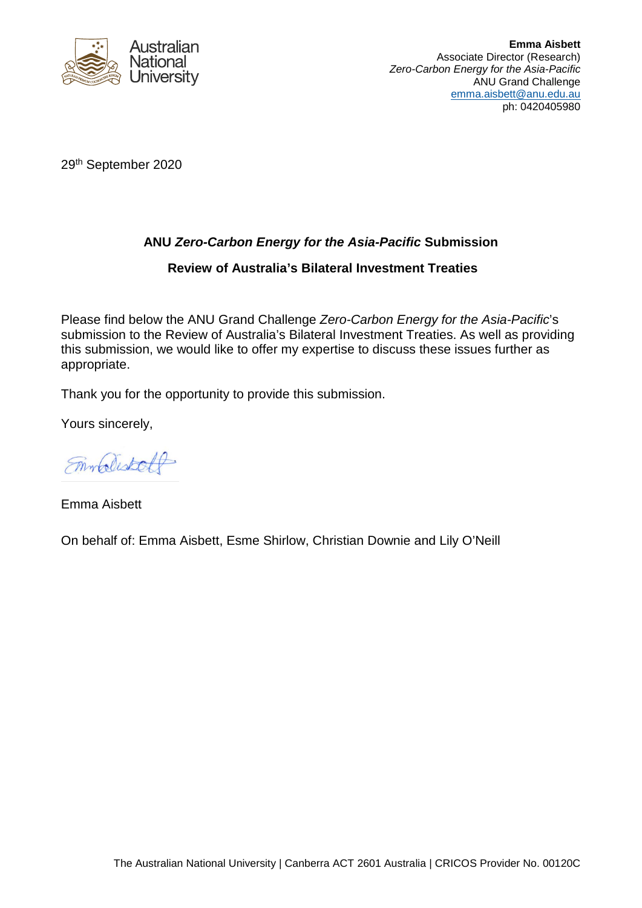

29th September 2020

## **ANU** *Zero-Carbon Energy for the Asia-Pacific* **Submission**

## **Review of Australia's Bilateral Investment Treaties**

Please find below the ANU Grand Challenge *Zero-Carbon Energy for the Asia-Pacific*'s submission to the Review of Australia's Bilateral Investment Treaties. As well as providing this submission, we would like to offer my expertise to discuss these issues further as appropriate.

Thank you for the opportunity to provide this submission.

Yours sincerely,

Emblistall

Emma Aisbett

On behalf of: Emma Aisbett, Esme Shirlow, Christian Downie and Lily O'Neill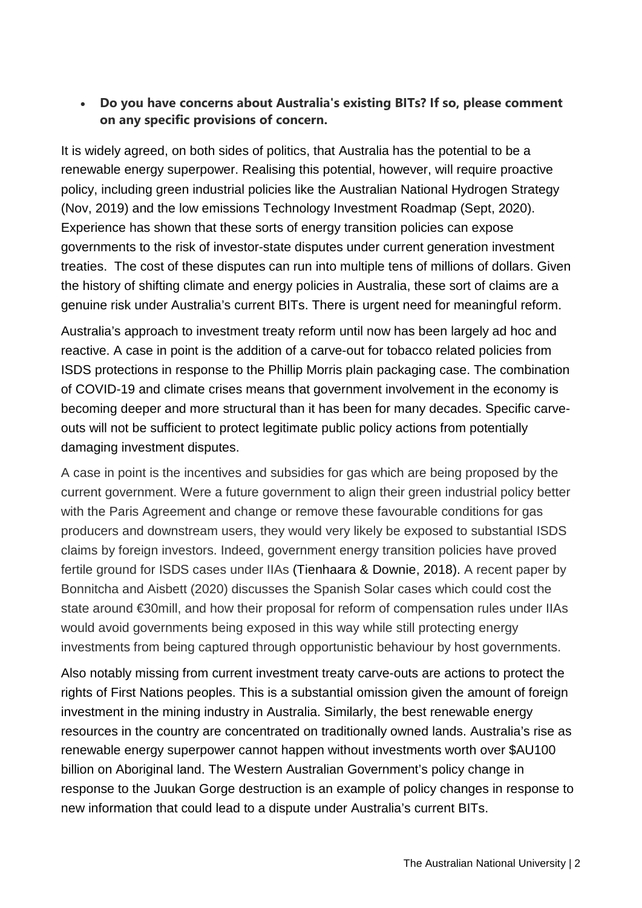## • **Do you have concerns about Australia's existing BITs? If so, please comment on any specific provisions of concern.**

It is widely agreed, on both sides of politics, that Australia has the potential to be a renewable energy superpower. Realising this potential, however, will require proactive policy, including green industrial policies like the Australian National Hydrogen Strategy (Nov, 2019) and the low emissions Technology Investment Roadmap (Sept, 2020). Experience has shown that these sorts of energy transition policies can expose governments to the risk of investor-state disputes under current generation investment treaties. The cost of these disputes can run into multiple tens of millions of dollars. Given the history of shifting climate and energy policies in Australia, these sort of claims are a genuine risk under Australia's current BITs. There is urgent need for meaningful reform.

Australia's approach to investment treaty reform until now has been largely ad hoc and reactive. A case in point is the addition of a carve-out for tobacco related policies from ISDS protections in response to the Phillip Morris plain packaging case. The combination of COVID-19 and climate crises means that government involvement in the economy is becoming deeper and more structural than it has been for many decades. Specific carveouts will not be sufficient to protect legitimate public policy actions from potentially damaging investment disputes.

A case in point is the incentives and subsidies for gas which are being proposed by the current government. Were a future government to align their green industrial policy better with the Paris Agreement and change or remove these favourable conditions for gas producers and downstream users, they would very likely be exposed to substantial ISDS claims by foreign investors. Indeed, government energy transition policies have proved fertile ground for ISDS cases under IIAs (Tienhaara & Downie, 2018). A recent paper by Bonnitcha and Aisbett (2020) discusses the Spanish Solar cases which could cost the state around €30mill, and how their proposal for reform of compensation rules under IIAs would avoid governments being exposed in this way while still protecting energy investments from being captured through opportunistic behaviour by host governments.

Also notably missing from current investment treaty carve-outs are actions to protect the rights of First Nations peoples. This is a substantial omission given the amount of foreign investment in the mining industry in Australia. Similarly, the best renewable energy resources in the country are concentrated on traditionally owned lands. Australia's rise as renewable energy superpower cannot happen without investments worth over \$AU100 billion on Aboriginal land. The Western Australian Government's policy change in response to the Juukan Gorge destruction is an example of policy changes in response to new information that could lead to a dispute under Australia's current BITs.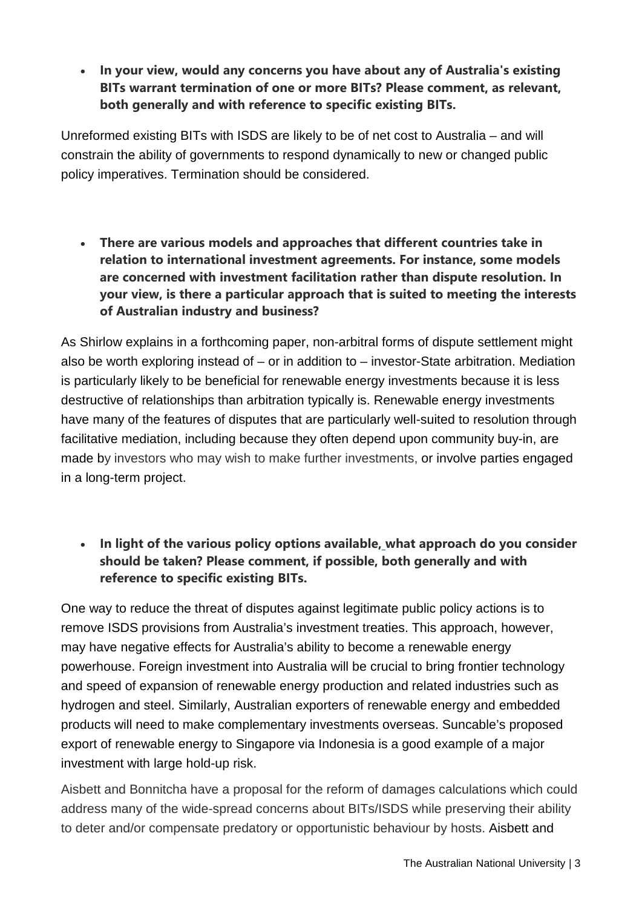• **In your view, would any concerns you have about any of Australia's existing BITs warrant termination of one or more BITs? Please comment, as relevant, both generally and with reference to specific existing BITs.**

Unreformed existing BITs with ISDS are likely to be of net cost to Australia – and will constrain the ability of governments to respond dynamically to new or changed public policy imperatives. Termination should be considered.

• **There are various models and approaches that different countries take in relation to international investment agreements. For instance, some models are concerned with investment facilitation rather than dispute resolution. In your view, is there a particular approach that is suited to meeting the interests of Australian industry and business?**

As Shirlow explains in a forthcoming paper, non-arbitral forms of dispute settlement might also be worth exploring instead of  $-$  or in addition to  $-$  investor-State arbitration. Mediation is particularly likely to be beneficial for renewable energy investments because it is less destructive of relationships than arbitration typically is. Renewable energy investments have many of the features of disputes that are particularly well-suited to resolution through facilitative mediation, including because they often depend upon community buy-in, are made by investors who may wish to make further investments, or involve parties engaged in a long-term project.

• **In light of the various policy options available, [w](https://www.dfat.gov.au/trade-and-investment/discussion-paper-review-australias-bilateral-investment-treaties#_ftn2)hat approach do you consider should be taken? Please comment, if possible, both generally and with reference to specific existing BITs.**

One way to reduce the threat of disputes against legitimate public policy actions is to remove ISDS provisions from Australia's investment treaties. This approach, however, may have negative effects for Australia's ability to become a renewable energy powerhouse. Foreign investment into Australia will be crucial to bring frontier technology and speed of expansion of renewable energy production and related industries such as hydrogen and steel. Similarly, Australian exporters of renewable energy and embedded products will need to make complementary investments overseas. Suncable's proposed export of renewable energy to Singapore via Indonesia is a good example of a major investment with large hold-up risk.

Aisbett and Bonnitcha have a proposal for the reform of damages calculations which could address many of the wide-spread concerns about BITs/ISDS while preserving their ability to deter and/or compensate predatory or opportunistic behaviour by hosts. Aisbett and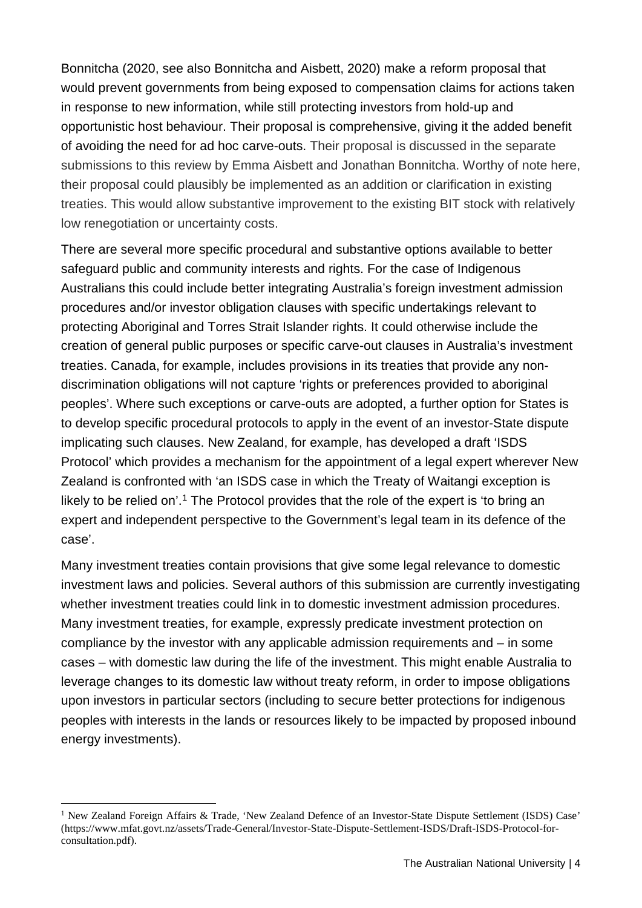Bonnitcha (2020, see also Bonnitcha and Aisbett, 2020) make a reform proposal that would prevent governments from being exposed to compensation claims for actions taken in response to new information, while still protecting investors from hold-up and opportunistic host behaviour. Their proposal is comprehensive, giving it the added benefit of avoiding the need for ad hoc carve-outs. Their proposal is discussed in the separate submissions to this review by Emma Aisbett and Jonathan Bonnitcha. Worthy of note here, their proposal could plausibly be implemented as an addition or clarification in existing treaties. This would allow substantive improvement to the existing BIT stock with relatively low renegotiation or uncertainty costs.

There are several more specific procedural and substantive options available to better safeguard public and community interests and rights. For the case of Indigenous Australians this could include better integrating Australia's foreign investment admission procedures and/or investor obligation clauses with specific undertakings relevant to protecting Aboriginal and Torres Strait Islander rights. It could otherwise include the creation of general public purposes or specific carve-out clauses in Australia's investment treaties. Canada, for example, includes provisions in its treaties that provide any nondiscrimination obligations will not capture 'rights or preferences provided to aboriginal peoples'. Where such exceptions or carve-outs are adopted, a further option for States is to develop specific procedural protocols to apply in the event of an investor-State dispute implicating such clauses. New Zealand, for example, has developed a draft 'ISDS Protocol' which provides a mechanism for the appointment of a legal expert wherever New Zealand is confronted with 'an ISDS case in which the Treaty of Waitangi exception is likely to be relied on'.<sup>[1](#page-3-0)</sup> The Protocol provides that the role of the expert is 'to bring an expert and independent perspective to the Government's legal team in its defence of the case'.

Many investment treaties contain provisions that give some legal relevance to domestic investment laws and policies. Several authors of this submission are currently investigating whether investment treaties could link in to domestic investment admission procedures. Many investment treaties, for example, expressly predicate investment protection on compliance by the investor with any applicable admission requirements and – in some cases – with domestic law during the life of the investment. This might enable Australia to leverage changes to its domestic law without treaty reform, in order to impose obligations upon investors in particular sectors (including to secure better protections for indigenous peoples with interests in the lands or resources likely to be impacted by proposed inbound energy investments).

<u>.</u>

<span id="page-3-0"></span><sup>&</sup>lt;sup>1</sup> New Zealand Foreign Affairs & Trade, 'New Zealand Defence of an Investor-State Dispute Settlement (ISDS) Case' (https://www.mfat.govt.nz/assets/Trade-General/Investor-State-Dispute-Settlement-ISDS/Draft-ISDS-Protocol-forconsultation.pdf).